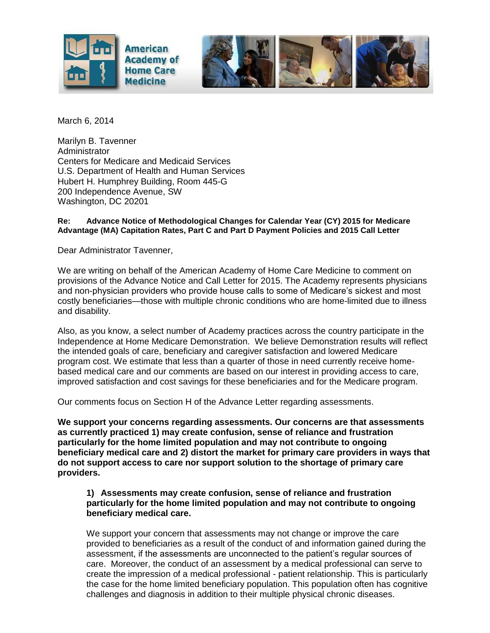

March 6, 2014

Marilyn B. Tavenner **Administrator** Centers for Medicare and Medicaid Services U.S. Department of Health and Human Services Hubert H. Humphrey Building, Room 445-G 200 Independence Avenue, SW Washington, DC 20201

## **Re: Advance Notice of Methodological Changes for Calendar Year (CY) 2015 for Medicare Advantage (MA) Capitation Rates, Part C and Part D Payment Policies and 2015 Call Letter**

Dear Administrator Tavenner,

We are writing on behalf of the American Academy of Home Care Medicine to comment on provisions of the Advance Notice and Call Letter for 2015. The Academy represents physicians and non-physician providers who provide house calls to some of Medicare's sickest and most costly beneficiaries—those with multiple chronic conditions who are home-limited due to illness and disability.

Also, as you know, a select number of Academy practices across the country participate in the Independence at Home Medicare Demonstration. We believe Demonstration results will reflect the intended goals of care, beneficiary and caregiver satisfaction and lowered Medicare program cost. We estimate that less than a quarter of those in need currently receive homebased medical care and our comments are based on our interest in providing access to care, improved satisfaction and cost savings for these beneficiaries and for the Medicare program.

Our comments focus on Section H of the Advance Letter regarding assessments.

**We support your concerns regarding assessments. Our concerns are that assessments as currently practiced 1) may create confusion, sense of reliance and frustration particularly for the home limited population and may not contribute to ongoing beneficiary medical care and 2) distort the market for primary care providers in ways that do not support access to care nor support solution to the shortage of primary care providers.**

**1) Assessments may create confusion, sense of reliance and frustration particularly for the home limited population and may not contribute to ongoing beneficiary medical care.**

We support your concern that assessments may not change or improve the care provided to beneficiaries as a result of the conduct of and information gained during the assessment, if the assessments are unconnected to the patient's regular sources of care. Moreover, the conduct of an assessment by a medical professional can serve to create the impression of a medical professional - patient relationship. This is particularly the case for the home limited beneficiary population. This population often has cognitive challenges and diagnosis in addition to their multiple physical chronic diseases.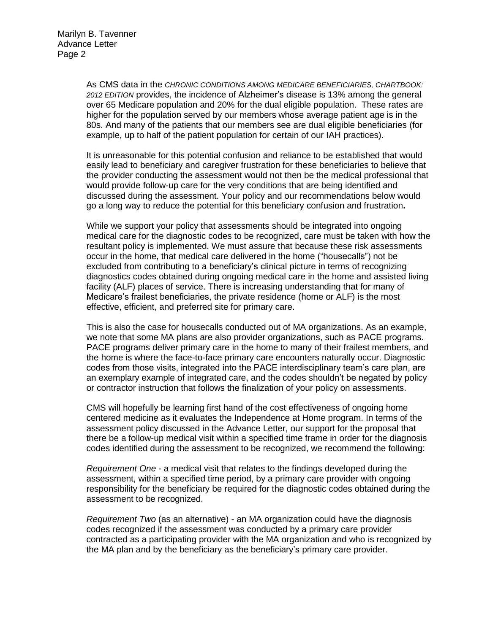As CMS data in the *CHRONIC CONDITIONS AMONG MEDICARE BENEFICIARIES, CHARTBOOK: 2012 EDITION* provides, the incidence of Alzheimer's disease is 13% among the general over 65 Medicare population and 20% for the dual eligible population. These rates are higher for the population served by our members whose average patient age is in the 80s. And many of the patients that our members see are dual eligible beneficiaries (for example, up to half of the patient population for certain of our IAH practices).

It is unreasonable for this potential confusion and reliance to be established that would easily lead to beneficiary and caregiver frustration for these beneficiaries to believe that the provider conducting the assessment would not then be the medical professional that would provide follow-up care for the very conditions that are being identified and discussed during the assessment. Your policy and our recommendations below would go a long way to reduce the potential for this beneficiary confusion and frustration**.** 

While we support your policy that assessments should be integrated into ongoing medical care for the diagnostic codes to be recognized, care must be taken with how the resultant policy is implemented. We must assure that because these risk assessments occur in the home, that medical care delivered in the home ("housecalls") not be excluded from contributing to a beneficiary's clinical picture in terms of recognizing diagnostics codes obtained during ongoing medical care in the home and assisted living facility (ALF) places of service. There is increasing understanding that for many of Medicare's frailest beneficiaries, the private residence (home or ALF) is the most effective, efficient, and preferred site for primary care.

This is also the case for housecalls conducted out of MA organizations. As an example, we note that some MA plans are also provider organizations, such as PACE programs. PACE programs deliver primary care in the home to many of their frailest members, and the home is where the face-to-face primary care encounters naturally occur. Diagnostic codes from those visits, integrated into the PACE interdisciplinary team's care plan, are an exemplary example of integrated care, and the codes shouldn't be negated by policy or contractor instruction that follows the finalization of your policy on assessments.

CMS will hopefully be learning first hand of the cost effectiveness of ongoing home centered medicine as it evaluates the Independence at Home program. In terms of the assessment policy discussed in the Advance Letter, our support for the proposal that there be a follow-up medical visit within a specified time frame in order for the diagnosis codes identified during the assessment to be recognized, we recommend the following:

*Requirement One* - a medical visit that relates to the findings developed during the assessment, within a specified time period, by a primary care provider with ongoing responsibility for the beneficiary be required for the diagnostic codes obtained during the assessment to be recognized.

*Requirement Two* (as an alternative) - an MA organization could have the diagnosis codes recognized if the assessment was conducted by a primary care provider contracted as a participating provider with the MA organization and who is recognized by the MA plan and by the beneficiary as the beneficiary's primary care provider.